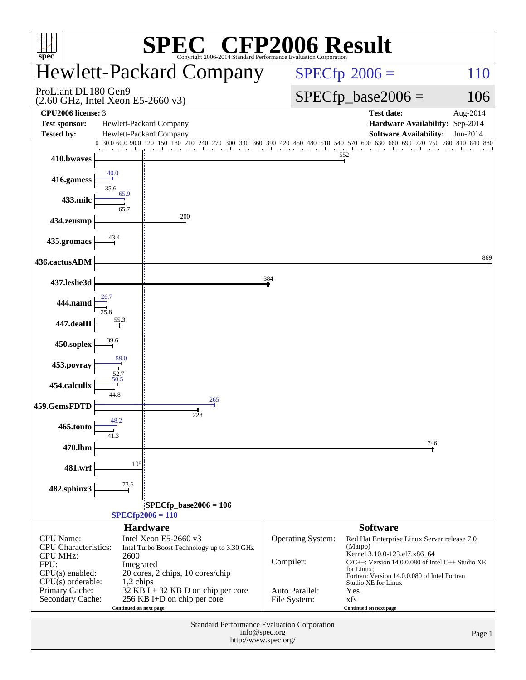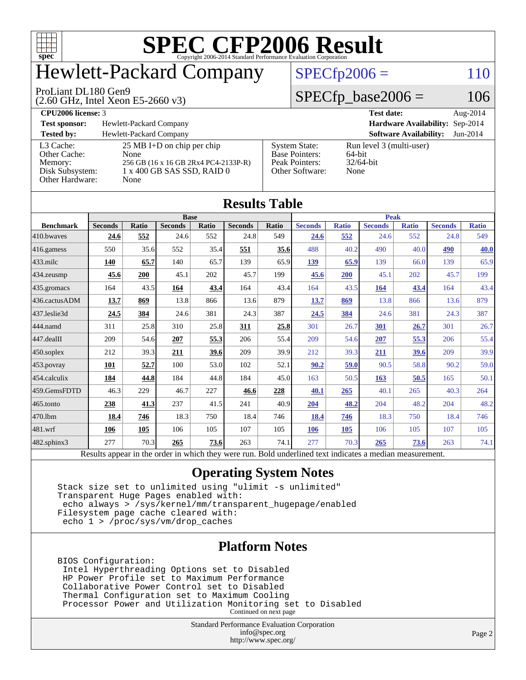

## Hewlett-Packard Company

#### ProLiant DL180 Gen9

(2.60 GHz, Intel Xeon E5-2660 v3)

 $SPECfp2006 = 110$  $SPECfp2006 = 110$ 

#### $SPECfp\_base2006 = 106$

**[CPU2006 license:](http://www.spec.org/auto/cpu2006/Docs/result-fields.html#CPU2006license)** 3 **[Test date:](http://www.spec.org/auto/cpu2006/Docs/result-fields.html#Testdate)** Aug-2014 **[Test sponsor:](http://www.spec.org/auto/cpu2006/Docs/result-fields.html#Testsponsor)** Hewlett-Packard Company **[Hardware Availability:](http://www.spec.org/auto/cpu2006/Docs/result-fields.html#HardwareAvailability)** Sep-2014 **[Tested by:](http://www.spec.org/auto/cpu2006/Docs/result-fields.html#Testedby)** Hewlett-Packard Company **[Software Availability:](http://www.spec.org/auto/cpu2006/Docs/result-fields.html#SoftwareAvailability)** Jun-2014 [L3 Cache:](http://www.spec.org/auto/cpu2006/Docs/result-fields.html#L3Cache) 25 MB I+D on chip per chip<br>Other Cache: None [Other Cache:](http://www.spec.org/auto/cpu2006/Docs/result-fields.html#OtherCache) [Memory:](http://www.spec.org/auto/cpu2006/Docs/result-fields.html#Memory) 256 GB (16 x 16 GB 2Rx4 PC4-2133P-R) [Disk Subsystem:](http://www.spec.org/auto/cpu2006/Docs/result-fields.html#DiskSubsystem) 1 x 400 GB SAS SSD, RAID 0 [Other Hardware:](http://www.spec.org/auto/cpu2006/Docs/result-fields.html#OtherHardware) None [System State:](http://www.spec.org/auto/cpu2006/Docs/result-fields.html#SystemState) Run level 3 (multi-user)<br>Base Pointers: 64-bit [Base Pointers:](http://www.spec.org/auto/cpu2006/Docs/result-fields.html#BasePointers) 64-bit<br>Peak Pointers: 32/64-bit [Peak Pointers:](http://www.spec.org/auto/cpu2006/Docs/result-fields.html#PeakPointers) [Other Software:](http://www.spec.org/auto/cpu2006/Docs/result-fields.html#OtherSoftware) None

| <b>Results Table</b> |                                                                                                          |              |                |       |                |       |                |              |                |              |                |              |
|----------------------|----------------------------------------------------------------------------------------------------------|--------------|----------------|-------|----------------|-------|----------------|--------------|----------------|--------------|----------------|--------------|
|                      | <b>Base</b>                                                                                              |              |                |       |                |       | <b>Peak</b>    |              |                |              |                |              |
| <b>Benchmark</b>     | <b>Seconds</b>                                                                                           | <b>Ratio</b> | <b>Seconds</b> | Ratio | <b>Seconds</b> | Ratio | <b>Seconds</b> | <b>Ratio</b> | <b>Seconds</b> | <b>Ratio</b> | <b>Seconds</b> | <b>Ratio</b> |
| 410.bwayes           | 24.6                                                                                                     | 552          | 24.6           | 552   | 24.8           | 549   | 24.6           | 552          | 24.6           | 552          | 24.8           | 549          |
| 416.gamess           | 550                                                                                                      | 35.6         | 552            | 35.4  | 551            | 35.6  | 488            | 40.2         | 490            | 40.0         | 490            | <b>40.0</b>  |
| $433$ .milc          | 140                                                                                                      | 65.7         | 140            | 65.7  | 139            | 65.9  | 139            | 65.9         | 139            | 66.0         | 139            | 65.9         |
| 434.zeusmp           | 45.6                                                                                                     | 200          | 45.1           | 202   | 45.7           | 199   | 45.6           | 200          | 45.1           | 202          | 45.7           | 199          |
| $435.\n$ gromacs     | 164                                                                                                      | 43.5         | 164            | 43.4  | 164            | 43.4  | 164            | 43.5         | 164            | 43.4         | 164            | 43.4         |
| 436.cactusADM        | 13.7                                                                                                     | 869          | 13.8           | 866   | 13.6           | 879   | 13.7           | 869          | 13.8           | 866          | 13.6           | 879          |
| 437.leslie3d         | 24.5                                                                                                     | 384          | 24.6           | 381   | 24.3           | 387   | 24.5           | 384          | 24.6           | 381          | 24.3           | 387          |
| 444.namd             | 311                                                                                                      | 25.8         | 310            | 25.8  | 311            | 25.8  | 301            | 26.7         | 301            | 26.7         | 301            | 26.7         |
| $447$ .dealII        | 209                                                                                                      | 54.6         | 207            | 55.3  | 206            | 55.4  | 209            | 54.6         | 207            | 55.3         | 206            | 55.4         |
| $ 450$ .soplex       | 212                                                                                                      | 39.3         | 211            | 39.6  | 209            | 39.9  | 212            | 39.3         | 211            | 39.6         | 209            | 39.9         |
| $453$ .povray        | 101                                                                                                      | 52.7         | 100            | 53.0  | 102            | 52.1  | 90.2           | 59.0         | 90.5           | 58.8         | 90.2           | 59.0         |
| $454$ .calculix      | 184                                                                                                      | 44.8         | 184            | 44.8  | 184            | 45.0  | 163            | 50.5         | 163            | 50.5         | 165            | 50.1         |
| 459.GemsFDTD         | 46.3                                                                                                     | 229          | 46.7           | 227   | 46.6           | 228   | 40.1           | 265          | 40.1           | 265          | 40.3           | 264          |
| $465$ .tonto         | 238                                                                                                      | 41.3         | 237            | 41.5  | 241            | 40.9  | 204            | 48.2         | 204            | 48.2         | 204            | 48.2         |
| 470.1bm              | 18.4                                                                                                     | 746          | 18.3           | 750   | 18.4           | 746   | 18.4           | 746          | 18.3           | 750          | 18.4           | 746          |
| $ 481$ .wrf          | 106                                                                                                      | 105          | 106            | 105   | 107            | 105   | 106            | 105          | 106            | 105          | 107            | 105          |
| $482$ .sphinx $3$    | 277                                                                                                      | 70.3         | 265            | 73.6  | 263            | 74.1  | 277            | 70.3         | 265            | 73.6         | 263            | 74.1         |
|                      | Results appear in the order in which they were run. Bold underlined text indicates a median measurement. |              |                |       |                |       |                |              |                |              |                |              |

#### **[Operating System Notes](http://www.spec.org/auto/cpu2006/Docs/result-fields.html#OperatingSystemNotes)**

 Stack size set to unlimited using "ulimit -s unlimited" Transparent Huge Pages enabled with: echo always > /sys/kernel/mm/transparent\_hugepage/enabled Filesystem page cache cleared with: echo 1 > /proc/sys/vm/drop\_caches

#### **[Platform Notes](http://www.spec.org/auto/cpu2006/Docs/result-fields.html#PlatformNotes)**

 BIOS Configuration: Intel Hyperthreading Options set to Disabled HP Power Profile set to Maximum Performance Collaborative Power Control set to Disabled Thermal Configuration set to Maximum Cooling Processor Power and Utilization Monitoring set to Disabled Continued on next page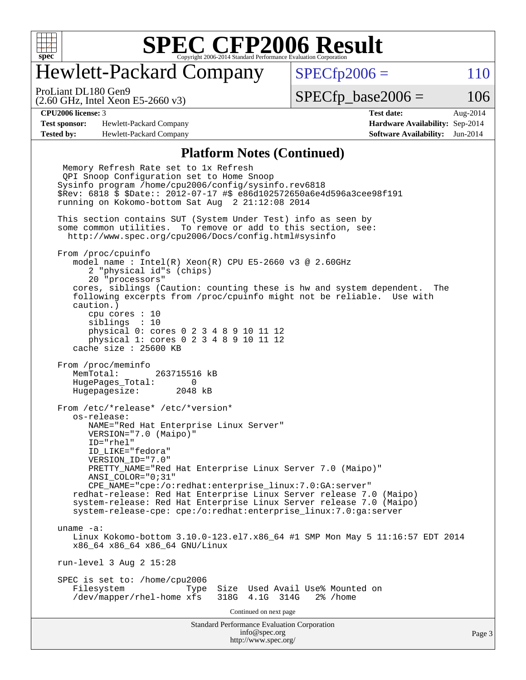

## Hewlett-Packard Company

 $SPECTp2006 = 110$ 

(2.60 GHz, Intel Xeon E5-2660 v3) ProLiant DL180 Gen9

 $SPECTp\_base2006 = 106$ 

**[Test sponsor:](http://www.spec.org/auto/cpu2006/Docs/result-fields.html#Testsponsor)** Hewlett-Packard Company **[Hardware Availability:](http://www.spec.org/auto/cpu2006/Docs/result-fields.html#HardwareAvailability)** Sep-2014 **[Tested by:](http://www.spec.org/auto/cpu2006/Docs/result-fields.html#Testedby)** Hewlett-Packard Company **[Software Availability:](http://www.spec.org/auto/cpu2006/Docs/result-fields.html#SoftwareAvailability)** Jun-2014

**[CPU2006 license:](http://www.spec.org/auto/cpu2006/Docs/result-fields.html#CPU2006license)** 3 **[Test date:](http://www.spec.org/auto/cpu2006/Docs/result-fields.html#Testdate)** Aug-2014

#### **[Platform Notes \(Continued\)](http://www.spec.org/auto/cpu2006/Docs/result-fields.html#PlatformNotes)**

Standard Performance Evaluation Corporation [info@spec.org](mailto:info@spec.org) <http://www.spec.org/> Memory Refresh Rate set to 1x Refresh QPI Snoop Configuration set to Home Snoop Sysinfo program /home/cpu2006/config/sysinfo.rev6818 \$Rev: 6818 \$ \$Date:: 2012-07-17 #\$ e86d102572650a6e4d596a3cee98f191 running on Kokomo-bottom Sat Aug 2 21:12:08 2014 This section contains SUT (System Under Test) info as seen by some common utilities. To remove or add to this section, see: <http://www.spec.org/cpu2006/Docs/config.html#sysinfo> From /proc/cpuinfo model name : Intel(R) Xeon(R) CPU E5-2660 v3 @ 2.60GHz 2 "physical id"s (chips) 20 "processors" cores, siblings (Caution: counting these is hw and system dependent. The following excerpts from /proc/cpuinfo might not be reliable. Use with caution.) cpu cores : 10 siblings : 10 physical 0: cores 0 2 3 4 8 9 10 11 12 physical 1: cores 0 2 3 4 8 9 10 11 12 cache size : 25600 KB From /proc/meminfo MemTotal: 263715516 kB HugePages\_Total: 0 Hugepagesize: 2048 kB From /etc/\*release\* /etc/\*version\* os-release: NAME="Red Hat Enterprise Linux Server" VERSION="7.0 (Maipo)" ID="rhel" ID\_LIKE="fedora" VERSION\_ID="7.0" PRETTY\_NAME="Red Hat Enterprise Linux Server 7.0 (Maipo)" ANSI\_COLOR="0;31" CPE\_NAME="cpe:/o:redhat:enterprise\_linux:7.0:GA:server" redhat-release: Red Hat Enterprise Linux Server release 7.0 (Maipo) system-release: Red Hat Enterprise Linux Server release 7.0 (Maipo) system-release-cpe: cpe:/o:redhat:enterprise\_linux:7.0:ga:server uname -a: Linux Kokomo-bottom 3.10.0-123.el7.x86\_64 #1 SMP Mon May 5 11:16:57 EDT 2014 x86\_64 x86\_64 x86\_64 GNU/Linux run-level 3 Aug 2 15:28 SPEC is set to: /home/cpu2006<br>Filesystem Type Type Size Used Avail Use% Mounted on /dev/mapper/rhel-home xfs 318G 4.1G 314G 2% /home Continued on next page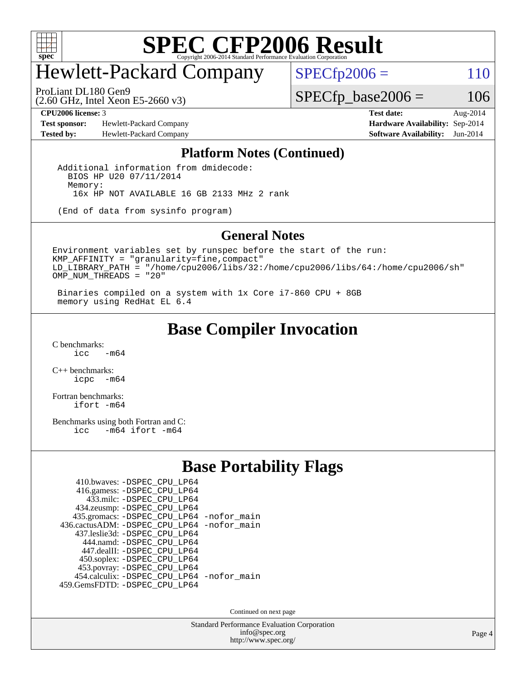

## Hewlett-Packard Company

ProLiant DL180 Gen9

 $SPECfp2006 = 110$  $SPECfp2006 = 110$ 

(2.60 GHz, Intel Xeon E5-2660 v3)

**[Test sponsor:](http://www.spec.org/auto/cpu2006/Docs/result-fields.html#Testsponsor)** Hewlett-Packard Company **[Hardware Availability:](http://www.spec.org/auto/cpu2006/Docs/result-fields.html#HardwareAvailability)** Sep-2014 **[Tested by:](http://www.spec.org/auto/cpu2006/Docs/result-fields.html#Testedby)** Hewlett-Packard Company **[Software Availability:](http://www.spec.org/auto/cpu2006/Docs/result-fields.html#SoftwareAvailability)** Jun-2014

**[CPU2006 license:](http://www.spec.org/auto/cpu2006/Docs/result-fields.html#CPU2006license)** 3 **[Test date:](http://www.spec.org/auto/cpu2006/Docs/result-fields.html#Testdate)** Aug-2014

 $SPECfp\_base2006 = 106$ 

#### **[Platform Notes \(Continued\)](http://www.spec.org/auto/cpu2006/Docs/result-fields.html#PlatformNotes)**

 Additional information from dmidecode: BIOS HP U20 07/11/2014 Memory: 16x HP NOT AVAILABLE 16 GB 2133 MHz 2 rank

(End of data from sysinfo program)

#### **[General Notes](http://www.spec.org/auto/cpu2006/Docs/result-fields.html#GeneralNotes)**

Environment variables set by runspec before the start of the run: KMP\_AFFINITY = "granularity=fine,compact" LD\_LIBRARY\_PATH = "/home/cpu2006/libs/32:/home/cpu2006/libs/64:/home/cpu2006/sh" OMP\_NUM\_THREADS = "20"

 Binaries compiled on a system with 1x Core i7-860 CPU + 8GB memory using RedHat EL 6.4

#### **[Base Compiler Invocation](http://www.spec.org/auto/cpu2006/Docs/result-fields.html#BaseCompilerInvocation)**

 $C$  benchmarks:<br>icc  $-m64$ 

[C++ benchmarks:](http://www.spec.org/auto/cpu2006/Docs/result-fields.html#CXXbenchmarks) [icpc -m64](http://www.spec.org/cpu2006/results/res2014q3/cpu2006-20140908-31239.flags.html#user_CXXbase_intel_icpc_64bit_bedb90c1146cab66620883ef4f41a67e)

[Fortran benchmarks](http://www.spec.org/auto/cpu2006/Docs/result-fields.html#Fortranbenchmarks): [ifort -m64](http://www.spec.org/cpu2006/results/res2014q3/cpu2006-20140908-31239.flags.html#user_FCbase_intel_ifort_64bit_ee9d0fb25645d0210d97eb0527dcc06e)

[Benchmarks using both Fortran and C](http://www.spec.org/auto/cpu2006/Docs/result-fields.html#BenchmarksusingbothFortranandC): [icc -m64](http://www.spec.org/cpu2006/results/res2014q3/cpu2006-20140908-31239.flags.html#user_CC_FCbase_intel_icc_64bit_0b7121f5ab7cfabee23d88897260401c) [ifort -m64](http://www.spec.org/cpu2006/results/res2014q3/cpu2006-20140908-31239.flags.html#user_CC_FCbase_intel_ifort_64bit_ee9d0fb25645d0210d97eb0527dcc06e)

#### **[Base Portability Flags](http://www.spec.org/auto/cpu2006/Docs/result-fields.html#BasePortabilityFlags)**

| 410.bwaves: -DSPEC CPU LP64                |  |
|--------------------------------------------|--|
| 416.gamess: -DSPEC_CPU_LP64                |  |
| 433.milc: -DSPEC CPU LP64                  |  |
| 434.zeusmp: -DSPEC_CPU_LP64                |  |
| 435.gromacs: -DSPEC_CPU_LP64 -nofor_main   |  |
| 436.cactusADM: -DSPEC CPU LP64 -nofor main |  |
| 437.leslie3d: -DSPEC CPU LP64              |  |
| 444.namd: - DSPEC_CPU LP64                 |  |
| 447.dealII: -DSPEC_CPU LP64                |  |
| 450.soplex: -DSPEC_CPU_LP64                |  |
| 453.povray: -DSPEC_CPU_LP64                |  |
| 454.calculix: - DSPEC_CPU_LP64 -nofor_main |  |
| 459. GemsFDTD: - DSPEC CPU LP64            |  |
|                                            |  |

Continued on next page

Standard Performance Evaluation Corporation [info@spec.org](mailto:info@spec.org) <http://www.spec.org/>

Page 4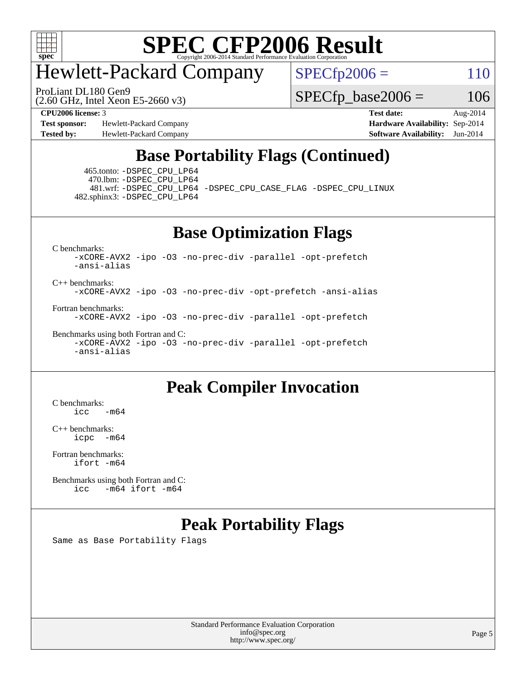

## Hewlett-Packard Company

ProLiant DL180 Gen9

 $SPECfp2006 = 110$  $SPECfp2006 = 110$ 

(2.60 GHz, Intel Xeon E5-2660 v3)

**[Test sponsor:](http://www.spec.org/auto/cpu2006/Docs/result-fields.html#Testsponsor)** Hewlett-Packard Company **[Hardware Availability:](http://www.spec.org/auto/cpu2006/Docs/result-fields.html#HardwareAvailability)** Sep-2014 **[Tested by:](http://www.spec.org/auto/cpu2006/Docs/result-fields.html#Testedby)** Hewlett-Packard Company **[Software Availability:](http://www.spec.org/auto/cpu2006/Docs/result-fields.html#SoftwareAvailability)** Jun-2014

 $SPECfp\_base2006 = 106$ **[CPU2006 license:](http://www.spec.org/auto/cpu2006/Docs/result-fields.html#CPU2006license)** 3 **[Test date:](http://www.spec.org/auto/cpu2006/Docs/result-fields.html#Testdate)** Aug-2014

### **[Base Portability Flags \(Continued\)](http://www.spec.org/auto/cpu2006/Docs/result-fields.html#BasePortabilityFlags)**

 465.tonto: [-DSPEC\\_CPU\\_LP64](http://www.spec.org/cpu2006/results/res2014q3/cpu2006-20140908-31239.flags.html#suite_basePORTABILITY465_tonto_DSPEC_CPU_LP64) 470.lbm: [-DSPEC\\_CPU\\_LP64](http://www.spec.org/cpu2006/results/res2014q3/cpu2006-20140908-31239.flags.html#suite_basePORTABILITY470_lbm_DSPEC_CPU_LP64) 482.sphinx3: [-DSPEC\\_CPU\\_LP64](http://www.spec.org/cpu2006/results/res2014q3/cpu2006-20140908-31239.flags.html#suite_basePORTABILITY482_sphinx3_DSPEC_CPU_LP64)

481.wrf: [-DSPEC\\_CPU\\_LP64](http://www.spec.org/cpu2006/results/res2014q3/cpu2006-20140908-31239.flags.html#suite_basePORTABILITY481_wrf_DSPEC_CPU_LP64) [-DSPEC\\_CPU\\_CASE\\_FLAG](http://www.spec.org/cpu2006/results/res2014q3/cpu2006-20140908-31239.flags.html#b481.wrf_baseCPORTABILITY_DSPEC_CPU_CASE_FLAG) [-DSPEC\\_CPU\\_LINUX](http://www.spec.org/cpu2006/results/res2014q3/cpu2006-20140908-31239.flags.html#b481.wrf_baseCPORTABILITY_DSPEC_CPU_LINUX)

#### **[Base Optimization Flags](http://www.spec.org/auto/cpu2006/Docs/result-fields.html#BaseOptimizationFlags)**

[C benchmarks](http://www.spec.org/auto/cpu2006/Docs/result-fields.html#Cbenchmarks):

[-xCORE-AVX2](http://www.spec.org/cpu2006/results/res2014q3/cpu2006-20140908-31239.flags.html#user_CCbase_f-xAVX2_5f5fc0cbe2c9f62c816d3e45806c70d7) [-ipo](http://www.spec.org/cpu2006/results/res2014q3/cpu2006-20140908-31239.flags.html#user_CCbase_f-ipo) [-O3](http://www.spec.org/cpu2006/results/res2014q3/cpu2006-20140908-31239.flags.html#user_CCbase_f-O3) [-no-prec-div](http://www.spec.org/cpu2006/results/res2014q3/cpu2006-20140908-31239.flags.html#user_CCbase_f-no-prec-div) [-parallel](http://www.spec.org/cpu2006/results/res2014q3/cpu2006-20140908-31239.flags.html#user_CCbase_f-parallel) [-opt-prefetch](http://www.spec.org/cpu2006/results/res2014q3/cpu2006-20140908-31239.flags.html#user_CCbase_f-opt-prefetch) [-ansi-alias](http://www.spec.org/cpu2006/results/res2014q3/cpu2006-20140908-31239.flags.html#user_CCbase_f-ansi-alias)

[C++ benchmarks:](http://www.spec.org/auto/cpu2006/Docs/result-fields.html#CXXbenchmarks) [-xCORE-AVX2](http://www.spec.org/cpu2006/results/res2014q3/cpu2006-20140908-31239.flags.html#user_CXXbase_f-xAVX2_5f5fc0cbe2c9f62c816d3e45806c70d7) [-ipo](http://www.spec.org/cpu2006/results/res2014q3/cpu2006-20140908-31239.flags.html#user_CXXbase_f-ipo) [-O3](http://www.spec.org/cpu2006/results/res2014q3/cpu2006-20140908-31239.flags.html#user_CXXbase_f-O3) [-no-prec-div](http://www.spec.org/cpu2006/results/res2014q3/cpu2006-20140908-31239.flags.html#user_CXXbase_f-no-prec-div) [-opt-prefetch](http://www.spec.org/cpu2006/results/res2014q3/cpu2006-20140908-31239.flags.html#user_CXXbase_f-opt-prefetch) [-ansi-alias](http://www.spec.org/cpu2006/results/res2014q3/cpu2006-20140908-31239.flags.html#user_CXXbase_f-ansi-alias)

[Fortran benchmarks](http://www.spec.org/auto/cpu2006/Docs/result-fields.html#Fortranbenchmarks): [-xCORE-AVX2](http://www.spec.org/cpu2006/results/res2014q3/cpu2006-20140908-31239.flags.html#user_FCbase_f-xAVX2_5f5fc0cbe2c9f62c816d3e45806c70d7) [-ipo](http://www.spec.org/cpu2006/results/res2014q3/cpu2006-20140908-31239.flags.html#user_FCbase_f-ipo) [-O3](http://www.spec.org/cpu2006/results/res2014q3/cpu2006-20140908-31239.flags.html#user_FCbase_f-O3) [-no-prec-div](http://www.spec.org/cpu2006/results/res2014q3/cpu2006-20140908-31239.flags.html#user_FCbase_f-no-prec-div) [-parallel](http://www.spec.org/cpu2006/results/res2014q3/cpu2006-20140908-31239.flags.html#user_FCbase_f-parallel) [-opt-prefetch](http://www.spec.org/cpu2006/results/res2014q3/cpu2006-20140908-31239.flags.html#user_FCbase_f-opt-prefetch)

[Benchmarks using both Fortran and C](http://www.spec.org/auto/cpu2006/Docs/result-fields.html#BenchmarksusingbothFortranandC): [-xCORE-AVX2](http://www.spec.org/cpu2006/results/res2014q3/cpu2006-20140908-31239.flags.html#user_CC_FCbase_f-xAVX2_5f5fc0cbe2c9f62c816d3e45806c70d7) [-ipo](http://www.spec.org/cpu2006/results/res2014q3/cpu2006-20140908-31239.flags.html#user_CC_FCbase_f-ipo) [-O3](http://www.spec.org/cpu2006/results/res2014q3/cpu2006-20140908-31239.flags.html#user_CC_FCbase_f-O3) [-no-prec-div](http://www.spec.org/cpu2006/results/res2014q3/cpu2006-20140908-31239.flags.html#user_CC_FCbase_f-no-prec-div) [-parallel](http://www.spec.org/cpu2006/results/res2014q3/cpu2006-20140908-31239.flags.html#user_CC_FCbase_f-parallel) [-opt-prefetch](http://www.spec.org/cpu2006/results/res2014q3/cpu2006-20140908-31239.flags.html#user_CC_FCbase_f-opt-prefetch) [-ansi-alias](http://www.spec.org/cpu2006/results/res2014q3/cpu2006-20140908-31239.flags.html#user_CC_FCbase_f-ansi-alias)

#### **[Peak Compiler Invocation](http://www.spec.org/auto/cpu2006/Docs/result-fields.html#PeakCompilerInvocation)**

[C benchmarks](http://www.spec.org/auto/cpu2006/Docs/result-fields.html#Cbenchmarks):  $\text{icc}$  -m64

[C++ benchmarks:](http://www.spec.org/auto/cpu2006/Docs/result-fields.html#CXXbenchmarks) [icpc -m64](http://www.spec.org/cpu2006/results/res2014q3/cpu2006-20140908-31239.flags.html#user_CXXpeak_intel_icpc_64bit_bedb90c1146cab66620883ef4f41a67e)

[Fortran benchmarks](http://www.spec.org/auto/cpu2006/Docs/result-fields.html#Fortranbenchmarks): [ifort -m64](http://www.spec.org/cpu2006/results/res2014q3/cpu2006-20140908-31239.flags.html#user_FCpeak_intel_ifort_64bit_ee9d0fb25645d0210d97eb0527dcc06e)

[Benchmarks using both Fortran and C](http://www.spec.org/auto/cpu2006/Docs/result-fields.html#BenchmarksusingbothFortranandC): [icc -m64](http://www.spec.org/cpu2006/results/res2014q3/cpu2006-20140908-31239.flags.html#user_CC_FCpeak_intel_icc_64bit_0b7121f5ab7cfabee23d88897260401c) [ifort -m64](http://www.spec.org/cpu2006/results/res2014q3/cpu2006-20140908-31239.flags.html#user_CC_FCpeak_intel_ifort_64bit_ee9d0fb25645d0210d97eb0527dcc06e)

#### **[Peak Portability Flags](http://www.spec.org/auto/cpu2006/Docs/result-fields.html#PeakPortabilityFlags)**

Same as Base Portability Flags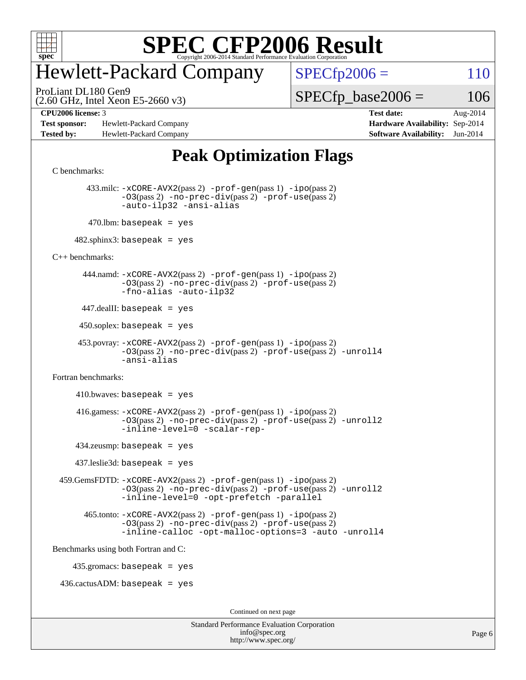

## Hewlett-Packard Company

ProLiant DL180 Gen9

 $SPECfp2006 = 110$  $SPECfp2006 = 110$ 

(2.60 GHz, Intel Xeon E5-2660 v3)

 $SPECTp\_base2006 = 106$ 

**[Test sponsor:](http://www.spec.org/auto/cpu2006/Docs/result-fields.html#Testsponsor)** Hewlett-Packard Company **[Hardware Availability:](http://www.spec.org/auto/cpu2006/Docs/result-fields.html#HardwareAvailability)** Sep-2014 **[Tested by:](http://www.spec.org/auto/cpu2006/Docs/result-fields.html#Testedby)** Hewlett-Packard Company **[Software Availability:](http://www.spec.org/auto/cpu2006/Docs/result-fields.html#SoftwareAvailability)** Jun-2014

**[CPU2006 license:](http://www.spec.org/auto/cpu2006/Docs/result-fields.html#CPU2006license)** 3 **[Test date:](http://www.spec.org/auto/cpu2006/Docs/result-fields.html#Testdate)** Aug-2014

### **[Peak Optimization Flags](http://www.spec.org/auto/cpu2006/Docs/result-fields.html#PeakOptimizationFlags)**

[C benchmarks](http://www.spec.org/auto/cpu2006/Docs/result-fields.html#Cbenchmarks):

 433.milc: [-xCORE-AVX2](http://www.spec.org/cpu2006/results/res2014q3/cpu2006-20140908-31239.flags.html#user_peakPASS2_CFLAGSPASS2_LDFLAGS433_milc_f-xAVX2_5f5fc0cbe2c9f62c816d3e45806c70d7)(pass 2) [-prof-gen](http://www.spec.org/cpu2006/results/res2014q3/cpu2006-20140908-31239.flags.html#user_peakPASS1_CFLAGSPASS1_LDFLAGS433_milc_prof_gen_e43856698f6ca7b7e442dfd80e94a8fc)(pass 1) [-ipo](http://www.spec.org/cpu2006/results/res2014q3/cpu2006-20140908-31239.flags.html#user_peakPASS2_CFLAGSPASS2_LDFLAGS433_milc_f-ipo)(pass 2) [-O3](http://www.spec.org/cpu2006/results/res2014q3/cpu2006-20140908-31239.flags.html#user_peakPASS2_CFLAGSPASS2_LDFLAGS433_milc_f-O3)(pass 2) [-no-prec-div](http://www.spec.org/cpu2006/results/res2014q3/cpu2006-20140908-31239.flags.html#user_peakPASS2_CFLAGSPASS2_LDFLAGS433_milc_f-no-prec-div)(pass 2) [-prof-use](http://www.spec.org/cpu2006/results/res2014q3/cpu2006-20140908-31239.flags.html#user_peakPASS2_CFLAGSPASS2_LDFLAGS433_milc_prof_use_bccf7792157ff70d64e32fe3e1250b55)(pass 2) [-auto-ilp32](http://www.spec.org/cpu2006/results/res2014q3/cpu2006-20140908-31239.flags.html#user_peakCOPTIMIZE433_milc_f-auto-ilp32) [-ansi-alias](http://www.spec.org/cpu2006/results/res2014q3/cpu2006-20140908-31239.flags.html#user_peakCOPTIMIZE433_milc_f-ansi-alias)  $470$ .lbm: basepeak = yes

 $482$ .sphinx3: basepeak = yes

[C++ benchmarks:](http://www.spec.org/auto/cpu2006/Docs/result-fields.html#CXXbenchmarks)

 444.namd: [-xCORE-AVX2](http://www.spec.org/cpu2006/results/res2014q3/cpu2006-20140908-31239.flags.html#user_peakPASS2_CXXFLAGSPASS2_LDFLAGS444_namd_f-xAVX2_5f5fc0cbe2c9f62c816d3e45806c70d7)(pass 2) [-prof-gen](http://www.spec.org/cpu2006/results/res2014q3/cpu2006-20140908-31239.flags.html#user_peakPASS1_CXXFLAGSPASS1_LDFLAGS444_namd_prof_gen_e43856698f6ca7b7e442dfd80e94a8fc)(pass 1) [-ipo](http://www.spec.org/cpu2006/results/res2014q3/cpu2006-20140908-31239.flags.html#user_peakPASS2_CXXFLAGSPASS2_LDFLAGS444_namd_f-ipo)(pass 2) [-O3](http://www.spec.org/cpu2006/results/res2014q3/cpu2006-20140908-31239.flags.html#user_peakPASS2_CXXFLAGSPASS2_LDFLAGS444_namd_f-O3)(pass 2) [-no-prec-div](http://www.spec.org/cpu2006/results/res2014q3/cpu2006-20140908-31239.flags.html#user_peakPASS2_CXXFLAGSPASS2_LDFLAGS444_namd_f-no-prec-div)(pass 2) [-prof-use](http://www.spec.org/cpu2006/results/res2014q3/cpu2006-20140908-31239.flags.html#user_peakPASS2_CXXFLAGSPASS2_LDFLAGS444_namd_prof_use_bccf7792157ff70d64e32fe3e1250b55)(pass 2) [-fno-alias](http://www.spec.org/cpu2006/results/res2014q3/cpu2006-20140908-31239.flags.html#user_peakCXXOPTIMIZEOPTIMIZE444_namd_f-no-alias_694e77f6c5a51e658e82ccff53a9e63a) [-auto-ilp32](http://www.spec.org/cpu2006/results/res2014q3/cpu2006-20140908-31239.flags.html#user_peakCXXOPTIMIZE444_namd_f-auto-ilp32)

 $447$ .dealII: basepeak = yes

 $450$ .soplex: basepeak = yes

 453.povray: [-xCORE-AVX2](http://www.spec.org/cpu2006/results/res2014q3/cpu2006-20140908-31239.flags.html#user_peakPASS2_CXXFLAGSPASS2_LDFLAGS453_povray_f-xAVX2_5f5fc0cbe2c9f62c816d3e45806c70d7)(pass 2) [-prof-gen](http://www.spec.org/cpu2006/results/res2014q3/cpu2006-20140908-31239.flags.html#user_peakPASS1_CXXFLAGSPASS1_LDFLAGS453_povray_prof_gen_e43856698f6ca7b7e442dfd80e94a8fc)(pass 1) [-ipo](http://www.spec.org/cpu2006/results/res2014q3/cpu2006-20140908-31239.flags.html#user_peakPASS2_CXXFLAGSPASS2_LDFLAGS453_povray_f-ipo)(pass 2) [-O3](http://www.spec.org/cpu2006/results/res2014q3/cpu2006-20140908-31239.flags.html#user_peakPASS2_CXXFLAGSPASS2_LDFLAGS453_povray_f-O3)(pass 2) [-no-prec-div](http://www.spec.org/cpu2006/results/res2014q3/cpu2006-20140908-31239.flags.html#user_peakPASS2_CXXFLAGSPASS2_LDFLAGS453_povray_f-no-prec-div)(pass 2) [-prof-use](http://www.spec.org/cpu2006/results/res2014q3/cpu2006-20140908-31239.flags.html#user_peakPASS2_CXXFLAGSPASS2_LDFLAGS453_povray_prof_use_bccf7792157ff70d64e32fe3e1250b55)(pass 2) [-unroll4](http://www.spec.org/cpu2006/results/res2014q3/cpu2006-20140908-31239.flags.html#user_peakCXXOPTIMIZE453_povray_f-unroll_4e5e4ed65b7fd20bdcd365bec371b81f) [-ansi-alias](http://www.spec.org/cpu2006/results/res2014q3/cpu2006-20140908-31239.flags.html#user_peakCXXOPTIMIZE453_povray_f-ansi-alias)

[Fortran benchmarks](http://www.spec.org/auto/cpu2006/Docs/result-fields.html#Fortranbenchmarks):

 $410.bwaves: basepeak = yes$  416.gamess: [-xCORE-AVX2](http://www.spec.org/cpu2006/results/res2014q3/cpu2006-20140908-31239.flags.html#user_peakPASS2_FFLAGSPASS2_LDFLAGS416_gamess_f-xAVX2_5f5fc0cbe2c9f62c816d3e45806c70d7)(pass 2) [-prof-gen](http://www.spec.org/cpu2006/results/res2014q3/cpu2006-20140908-31239.flags.html#user_peakPASS1_FFLAGSPASS1_LDFLAGS416_gamess_prof_gen_e43856698f6ca7b7e442dfd80e94a8fc)(pass 1) [-ipo](http://www.spec.org/cpu2006/results/res2014q3/cpu2006-20140908-31239.flags.html#user_peakPASS2_FFLAGSPASS2_LDFLAGS416_gamess_f-ipo)(pass 2) [-O3](http://www.spec.org/cpu2006/results/res2014q3/cpu2006-20140908-31239.flags.html#user_peakPASS2_FFLAGSPASS2_LDFLAGS416_gamess_f-O3)(pass 2) [-no-prec-div](http://www.spec.org/cpu2006/results/res2014q3/cpu2006-20140908-31239.flags.html#user_peakPASS2_FFLAGSPASS2_LDFLAGS416_gamess_f-no-prec-div)(pass 2) [-prof-use](http://www.spec.org/cpu2006/results/res2014q3/cpu2006-20140908-31239.flags.html#user_peakPASS2_FFLAGSPASS2_LDFLAGS416_gamess_prof_use_bccf7792157ff70d64e32fe3e1250b55)(pass 2) [-unroll2](http://www.spec.org/cpu2006/results/res2014q3/cpu2006-20140908-31239.flags.html#user_peakOPTIMIZE416_gamess_f-unroll_784dae83bebfb236979b41d2422d7ec2) [-inline-level=0](http://www.spec.org/cpu2006/results/res2014q3/cpu2006-20140908-31239.flags.html#user_peakOPTIMIZE416_gamess_f-inline-level_318d07a09274ad25e8d15dbfaa68ba50) [-scalar-rep-](http://www.spec.org/cpu2006/results/res2014q3/cpu2006-20140908-31239.flags.html#user_peakOPTIMIZE416_gamess_f-disablescalarrep_abbcad04450fb118e4809c81d83c8a1d) 434.zeusmp: basepeak = yes 437.leslie3d: basepeak = yes

 459.GemsFDTD: [-xCORE-AVX2](http://www.spec.org/cpu2006/results/res2014q3/cpu2006-20140908-31239.flags.html#user_peakPASS2_FFLAGSPASS2_LDFLAGS459_GemsFDTD_f-xAVX2_5f5fc0cbe2c9f62c816d3e45806c70d7)(pass 2) [-prof-gen](http://www.spec.org/cpu2006/results/res2014q3/cpu2006-20140908-31239.flags.html#user_peakPASS1_FFLAGSPASS1_LDFLAGS459_GemsFDTD_prof_gen_e43856698f6ca7b7e442dfd80e94a8fc)(pass 1) [-ipo](http://www.spec.org/cpu2006/results/res2014q3/cpu2006-20140908-31239.flags.html#user_peakPASS2_FFLAGSPASS2_LDFLAGS459_GemsFDTD_f-ipo)(pass 2) [-O3](http://www.spec.org/cpu2006/results/res2014q3/cpu2006-20140908-31239.flags.html#user_peakPASS2_FFLAGSPASS2_LDFLAGS459_GemsFDTD_f-O3)(pass 2) [-no-prec-div](http://www.spec.org/cpu2006/results/res2014q3/cpu2006-20140908-31239.flags.html#user_peakPASS2_FFLAGSPASS2_LDFLAGS459_GemsFDTD_f-no-prec-div)(pass 2) [-prof-use](http://www.spec.org/cpu2006/results/res2014q3/cpu2006-20140908-31239.flags.html#user_peakPASS2_FFLAGSPASS2_LDFLAGS459_GemsFDTD_prof_use_bccf7792157ff70d64e32fe3e1250b55)(pass 2) [-unroll2](http://www.spec.org/cpu2006/results/res2014q3/cpu2006-20140908-31239.flags.html#user_peakOPTIMIZE459_GemsFDTD_f-unroll_784dae83bebfb236979b41d2422d7ec2) [-inline-level=0](http://www.spec.org/cpu2006/results/res2014q3/cpu2006-20140908-31239.flags.html#user_peakOPTIMIZE459_GemsFDTD_f-inline-level_318d07a09274ad25e8d15dbfaa68ba50) [-opt-prefetch](http://www.spec.org/cpu2006/results/res2014q3/cpu2006-20140908-31239.flags.html#user_peakOPTIMIZE459_GemsFDTD_f-opt-prefetch) [-parallel](http://www.spec.org/cpu2006/results/res2014q3/cpu2006-20140908-31239.flags.html#user_peakOPTIMIZE459_GemsFDTD_f-parallel)

 465.tonto: [-xCORE-AVX2](http://www.spec.org/cpu2006/results/res2014q3/cpu2006-20140908-31239.flags.html#user_peakPASS2_FFLAGSPASS2_LDFLAGS465_tonto_f-xAVX2_5f5fc0cbe2c9f62c816d3e45806c70d7)(pass 2) [-prof-gen](http://www.spec.org/cpu2006/results/res2014q3/cpu2006-20140908-31239.flags.html#user_peakPASS1_FFLAGSPASS1_LDFLAGS465_tonto_prof_gen_e43856698f6ca7b7e442dfd80e94a8fc)(pass 1) [-ipo](http://www.spec.org/cpu2006/results/res2014q3/cpu2006-20140908-31239.flags.html#user_peakPASS2_FFLAGSPASS2_LDFLAGS465_tonto_f-ipo)(pass 2) [-O3](http://www.spec.org/cpu2006/results/res2014q3/cpu2006-20140908-31239.flags.html#user_peakPASS2_FFLAGSPASS2_LDFLAGS465_tonto_f-O3)(pass 2) [-no-prec-div](http://www.spec.org/cpu2006/results/res2014q3/cpu2006-20140908-31239.flags.html#user_peakPASS2_FFLAGSPASS2_LDFLAGS465_tonto_f-no-prec-div)(pass 2) [-prof-use](http://www.spec.org/cpu2006/results/res2014q3/cpu2006-20140908-31239.flags.html#user_peakPASS2_FFLAGSPASS2_LDFLAGS465_tonto_prof_use_bccf7792157ff70d64e32fe3e1250b55)(pass 2) [-inline-calloc](http://www.spec.org/cpu2006/results/res2014q3/cpu2006-20140908-31239.flags.html#user_peakOPTIMIZE465_tonto_f-inline-calloc) [-opt-malloc-options=3](http://www.spec.org/cpu2006/results/res2014q3/cpu2006-20140908-31239.flags.html#user_peakOPTIMIZE465_tonto_f-opt-malloc-options_13ab9b803cf986b4ee62f0a5998c2238) [-auto](http://www.spec.org/cpu2006/results/res2014q3/cpu2006-20140908-31239.flags.html#user_peakOPTIMIZE465_tonto_f-auto) [-unroll4](http://www.spec.org/cpu2006/results/res2014q3/cpu2006-20140908-31239.flags.html#user_peakOPTIMIZE465_tonto_f-unroll_4e5e4ed65b7fd20bdcd365bec371b81f)

[Benchmarks using both Fortran and C](http://www.spec.org/auto/cpu2006/Docs/result-fields.html#BenchmarksusingbothFortranandC):

435.gromacs: basepeak = yes

 $436.cactusADM:basepeak = yes$ 

Continued on next page